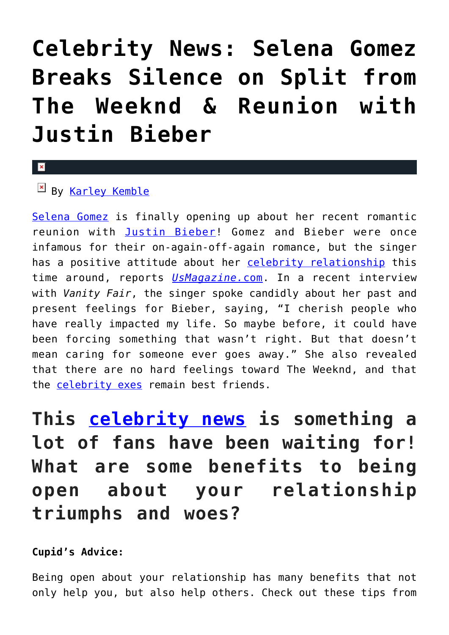## **[Celebrity News: Selena Gomez](https://cupidspulse.com/121896/celebrity-news-selena-gomez-breaks-silence-split-the-weeknd-justin-bieber/) [Breaks Silence on Split from](https://cupidspulse.com/121896/celebrity-news-selena-gomez-breaks-silence-split-the-weeknd-justin-bieber/) [The Weeknd & Reunion with](https://cupidspulse.com/121896/celebrity-news-selena-gomez-breaks-silence-split-the-weeknd-justin-bieber/) [Justin Bieber](https://cupidspulse.com/121896/celebrity-news-selena-gomez-breaks-silence-split-the-weeknd-justin-bieber/)**

## $\mathbf{R}$

## $By$  [Karley Kemble](http://cupidspulse.com/121255/karley-kemble/)

[Selena Gomez](http://cupidspulse.com/89073/selena-gomez/) is finally opening up about her recent romantic reunion with [Justin Bieber](http://cupidspulse.com/87039/justin-bieber/)! Gomez and Bieber were once infamous for their on-again-off-again romance, but the singer has a positive attitude about her [celebrity relationship](http://cupidspulse.com/celebrity-relationships/) this time around, reports *[UsMagazine.](https://www.usmagazine.com/celebrity-news/news/selena-gomez-talks-the-weeknd-split-justin-bieber-reunion/)*[com.](https://www.usmagazine.com/celebrity-news/news/selena-gomez-talks-the-weeknd-split-justin-bieber-reunion/) In a recent interview with *Vanity Fair*, the singer spoke candidly about her past and present feelings for Bieber, saying, "I cherish people who have really impacted my life. So maybe before, it could have been forcing something that wasn't right. But that doesn't mean caring for someone ever goes away." She also revealed that there are no hard feelings toward The Weeknd, and that the [celebrity exes](http://cupidspulse.com/celebrity-relationships/break-up-divorce/) remain best friends.

**This [celebrity news](https://cupidspulse.com) is something a lot of fans have been waiting for! What are some benefits to being open about your relationship triumphs and woes?**

## **Cupid's Advice:**

Being open about your relationship has many benefits that not only help you, but also help others. Check out these tips from